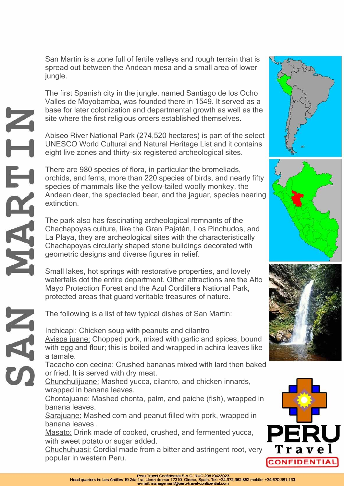San Martín is a zone full of fertile valleys and rough terrain that is spread out between the Andean mesa and a small area of lower jungle.

The first Spanish city in the jungle, named Santiago de los Ocho Valles de Moyobamba, was founded there in 1549. It served as a base for later colonization and departmental growth as well as the site where the first religious orders established themselves.

Abiseo River National Park (274,520 hectares) is part of the select UNESCO World Cultural and Natural Heritage List and it contains eight live zones and thirty-six registered archeological sites.

Z<br>H

HRT

**NRS** 

There are 980 species of flora, in particular the bromeliads, orchids, and ferns, more than 220 species of birds, and nearly fifty species of mammals like the yellow-tailed woolly monkey, the Andean deer, the spectacled bear, and the jaguar, species nearing extinction.

The park also has fascinating archeological remnants of the Chachapoyas culture, like the Gran Pajatén, Los Pinchudos, and La Playa, they are archeological sites with the characteristically Chachapoyas circularly shaped stone buildings decorated with geometric designs and diverse figures in relief.

Small lakes, hot springs with restorative properties, and lovely waterfalls dot the entire department. Other attractions are the Alto Mayo Protection Forest and the Azul Cordillera National Park, protected areas that guard veritable treasures of nature.

The following is a list of few typical dishes of San Martin:

Inchicapi: Chicken soup with peanuts and cilantro Avispa juane: Chopped pork, mixed with garlic and spices, bound with egg and flour; this is boiled and wrapped in achira leaves like a tamale.

Tacacho con cecina: Crushed bananas mixed with lard then baked or fried. It is served with dry meat.

Chunchulijuane: Mashed yucca, cilantro, and chicken innards, wrapped in banana leaves.

Chontajuane: Mashed chonta, palm, and paiche (fish), wrapped in banana leaves.

Sarajuane: Mashed corn and peanut filled with pork, wrapped in banana leaves .

Masato: Drink made of cooked, crushed, and fermented yucca, with sweet potato or sugar added.

Chuchuhuasi: Cordial made from a bitter and astringent root, very popular in western Peru.